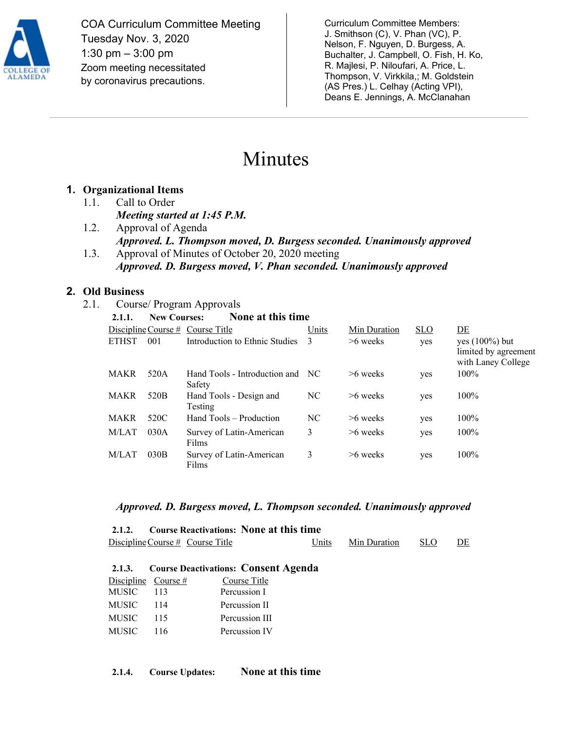

COA Curriculum Committee Meeting Tuesday Nov. 3, 2020 1:30 pm – 3:00 pm Zoom meeting necessitated by coronavirus precautions.

Curriculum Committee Members: J. Smithson (C), V. Phan (VC), P. Nelson, F. Nguyen, D. Burgess, A. Buchalter, J. Campbell, O. Fish, H. Ko, R. Majlesi, P. Niloufari, A. Price, L. Thompson, V. Virkkila,; M. Goldstein (AS Pres.) L. Celhay (Acting VPI), Deans E. Jennings, A. McClanahan

# Minutes

## **1. Organizational Items**

- 1.1. Call to Order *Meeting started at 1:45 P.M.*
- 1.2. Approval of Agenda *Approved. L. Thompson moved, D. Burgess seconded. Unanimously approved* 1.3. Approval of Minutes of October 20, 2020 meeting
- *Approved. D. Burgess moved, V. Phan seconded. Unanimously approved*

## **2. Old Business**

2.1. Course/ Program Approvals

| 2.1.1.       | <b>New Courses:</b> | None at this time                          |       |              |            |                                                                 |
|--------------|---------------------|--------------------------------------------|-------|--------------|------------|-----------------------------------------------------------------|
|              |                     | Discipline Course $#$ Course Title         | Units | Min Duration | <b>SLO</b> | DE                                                              |
| <b>ETHST</b> | 001                 | Introduction to Ethnic Studies             | 3     | $>6$ weeks   | yes        | yes $(100\%)$ but<br>limited by agreement<br>with Laney College |
| <b>MAKR</b>  | 520A                | Hand Tools - Introduction and NC<br>Safety |       | $>6$ weeks   | yes        | $100\%$                                                         |
| <b>MAKR</b>  | 520 <sub>B</sub>    | Hand Tools - Design and<br>Testing         | NC    | $>6$ weeks   | yes        | $100\%$                                                         |
| <b>MAKR</b>  | 520C                | Hand Tools – Production                    | NC    | $>6$ weeks   | yes        | 100%                                                            |
| M/LAT        | 030A                | Survey of Latin-American<br>Films          | 3     | $>6$ weeks   | yes        | 100%                                                            |
| M/LAT        | 030B                | Survey of Latin-American<br>Films          | 3     | >6 weeks     | yes        | 100%                                                            |

#### *Approved. D. Burgess moved, L. Thompson seconded. Unanimously approved*

**2.1.2. Course Reactivations: None at this time**  Discipline Course # Course Title Units Min Duration SLO DE

|           |                       | 2.1.3. Course Deactivations: Consent Agenda |
|-----------|-----------------------|---------------------------------------------|
|           | Discipline Course $#$ | Course Title                                |
| MUSIC 113 |                       | Percussion I                                |
| MUSIC     | - 114                 | Percussion II                               |
| MUSIC     | 115                   | Percussion III                              |
| MUSIC 116 |                       | Percussion IV                               |
|           |                       |                                             |

**2.1.4. Course Updates: None at this time**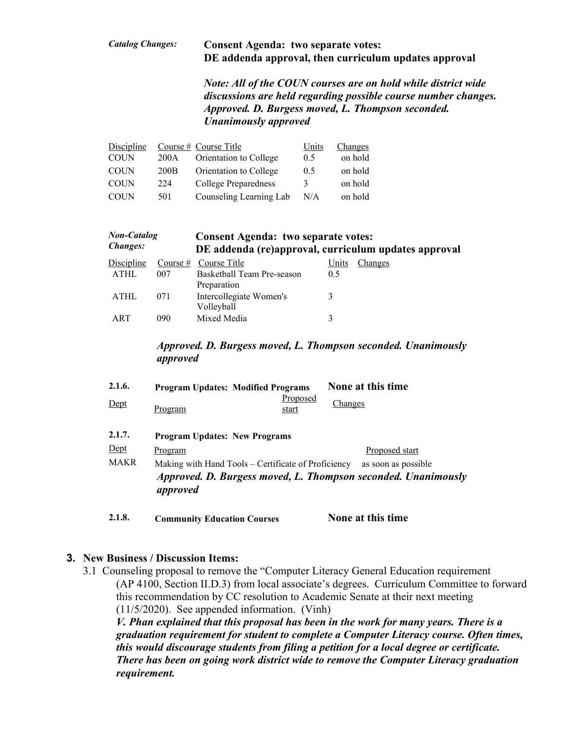#### *Catalog Changes:* **Consent Agenda: two separate votes: DE addenda approval, then curriculum updates approval**

*Note: All of the COUN courses are on hold while district wide discussions are held regarding possible course number changes. Approved. D. Burgess moved, L. Thompson seconded. Unanimously approved*

| Discipline  |      | Course $#$ Course Title | Units | Changes |
|-------------|------|-------------------------|-------|---------|
| <b>COUN</b> | 200A | Orientation to College  | 0.5   | on hold |
| <b>COUN</b> | 200B | Orientation to College  | 0.5   | on hold |
| <b>COUN</b> | 224  | College Preparedness    | 3     | on hold |
| <b>COUN</b> | 501  | Counseling Learning Lab | N/A   | on hold |

| <b>Non-Catalog</b><br><b>Changes:</b> |            | <b>Consent Agenda: two separate votes:</b><br>DE addenda (re)approval, curriculum updates approval |       |         |  |
|---------------------------------------|------------|----------------------------------------------------------------------------------------------------|-------|---------|--|
| Discipline                            | Course $#$ | Course Title                                                                                       | Units | Changes |  |
| <b>ATHL</b>                           | 007        | Basketball Team Pre-season                                                                         | 0.5   |         |  |
|                                       |            | Preparation                                                                                        |       |         |  |
| <b>ATHL</b>                           | 071        | Intercollegiate Women's                                                                            |       |         |  |
|                                       |            | Volleyball                                                                                         |       |         |  |
| ART                                   | 090        | Mixed Media                                                                                        |       |         |  |
|                                       |            |                                                                                                    |       |         |  |

#### *Approved. D. Burgess moved, L. Thompson seconded. Unanimously approved*

| 2.1.6. |                                                                                                                                                         | <b>Program Updates: Modified Programs</b> | None at this time |  |  |  |
|--------|---------------------------------------------------------------------------------------------------------------------------------------------------------|-------------------------------------------|-------------------|--|--|--|
| Dept   | Program                                                                                                                                                 | Proposed<br>start                         | <b>Changes</b>    |  |  |  |
| 2.1.7. | <b>Program Updates: New Programs</b>                                                                                                                    |                                           |                   |  |  |  |
| Dept   | Program                                                                                                                                                 |                                           | Proposed start    |  |  |  |
| MAKR   | Making with Hand Tools – Certificate of Proficiency<br>as soon as possible<br>Approved. D. Burgess moved, L. Thompson seconded. Unanimously<br>approved |                                           |                   |  |  |  |

**2.1.8. Community Education Courses None at this time**

## **3. New Business / Discussion Items:**

3.1 Counseling proposal to remove the "Computer Literacy General Education requirement (AP 4100, Section II.D.3) from local associate's degrees. Curriculum Committee to forward this recommendation by CC resolution to Academic Senate at their next meeting (11/5/2020). See appended information. (Vinh) *V. Phan explained that this proposal has been in the work for many years. There is a graduation requirement for student to complete a Computer Literacy course. Often times, this would discourage students from filing a petition for a local degree or certificate. There has been on going work district wide to remove the Computer Literacy graduation requirement.*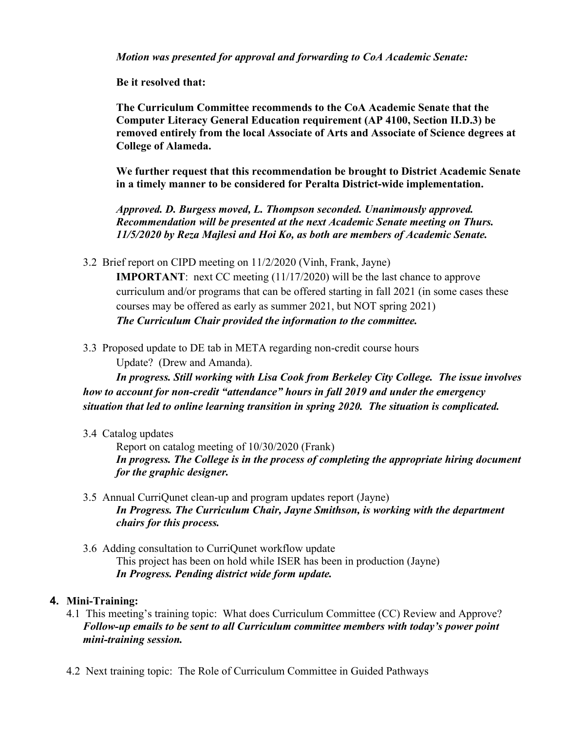*Motion was presented for approval and forwarding to CoA Academic Senate:*

**Be it resolved that:**

**The Curriculum Committee recommends to the CoA Academic Senate that the Computer Literacy General Education requirement (AP 4100, Section II.D.3) be removed entirely from the local Associate of Arts and Associate of Science degrees at College of Alameda.** 

**We further request that this recommendation be brought to District Academic Senate in a timely manner to be considered for Peralta District-wide implementation.** 

*Approved. D. Burgess moved, L. Thompson seconded. Unanimously approved. Recommendation will be presented at the next Academic Senate meeting on Thurs. 11/5/2020 by Reza Majlesi and Hoi Ko, as both are members of Academic Senate.*

3.2 Brief report on CIPD meeting on 11/2/2020 (Vinh, Frank, Jayne)

**IMPORTANT**: next CC meeting (11/17/2020) will be the last chance to approve curriculum and/or programs that can be offered starting in fall 2021 (in some cases these courses may be offered as early as summer 2021, but NOT spring 2021) *The Curriculum Chair provided the information to the committee.* 

3.3 Proposed update to DE tab in META regarding non-credit course hours

Update? (Drew and Amanda).

*In progress. Still working with Lisa Cook from Berkeley City College. The issue involves how to account for non-credit "attendance" hours in fall 2019 and under the emergency situation that led to online learning transition in spring 2020. The situation is complicated.* 

#### 3.4 Catalog updates

Report on catalog meeting of 10/30/2020 (Frank) *In progress. The College is in the process of completing the appropriate hiring document for the graphic designer.*

- 3.5 Annual CurriQunet clean-up and program updates report (Jayne) *In Progress. The Curriculum Chair, Jayne Smithson, is working with the department chairs for this process.*
- 3.6 Adding consultation to CurriQunet workflow update This project has been on hold while ISER has been in production (Jayne) *In Progress. Pending district wide form update.*

## **4. Mini-Training:**

- 4.1 This meeting's training topic: What does Curriculum Committee (CC) Review and Approve? *Follow-up emails to be sent to all Curriculum committee members with today's power point mini-training session.*
- 4.2 Next training topic: The Role of Curriculum Committee in Guided Pathways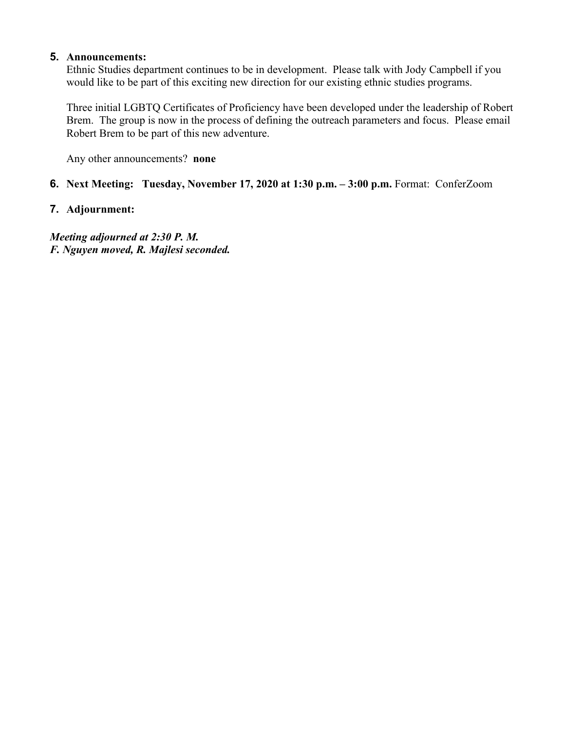#### **5. Announcements:**

Ethnic Studies department continues to be in development. Please talk with Jody Campbell if you would like to be part of this exciting new direction for our existing ethnic studies programs.

Three initial LGBTQ Certificates of Proficiency have been developed under the leadership of Robert Brem. The group is now in the process of defining the outreach parameters and focus. Please email Robert Brem to be part of this new adventure.

Any other announcements? **none**

#### **6. Next Meeting: Tuesday, November 17, 2020 at 1:30 p.m. – 3:00 p.m.** Format: ConferZoom

#### **7. Adjournment:**

*Meeting adjourned at 2:30 P. M. F. Nguyen moved, R. Majlesi seconded.*